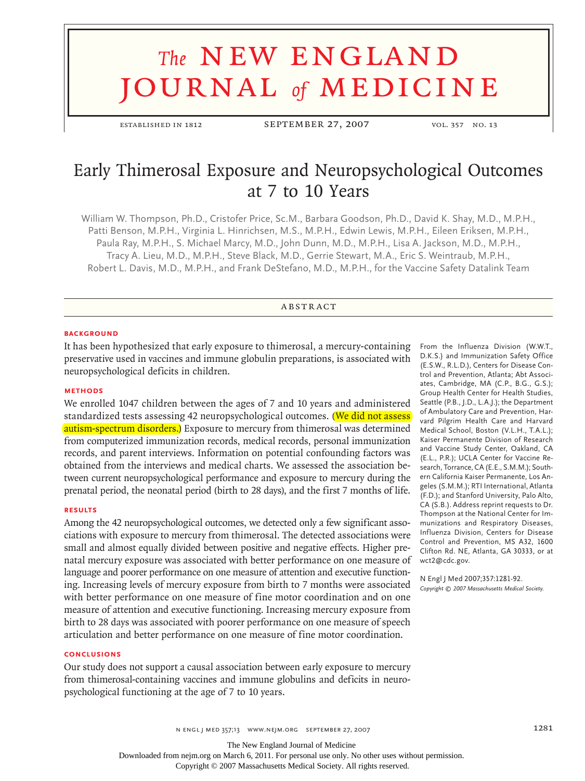# **The NEW ENGLAND** journal *of* medicine

established in 1812 SEPTEMBER 27, 2007 vol. 357 No. 13

# Early Thimerosal Exposure and Neuropsychological Outcomes at 7 to 10 Years

William W. Thompson, Ph.D., Cristofer Price, Sc.M., Barbara Goodson, Ph.D., David K. Shay, M.D., M.P.H., Patti Benson, M.P.H., Virginia L. Hinrichsen, M.S., M.P.H., Edwin Lewis, M.P.H., Eileen Eriksen, M.P.H., Paula Ray, M.P.H., S. Michael Marcy, M.D., John Dunn, M.D., M.P.H., Lisa A. Jackson, M.D., M.P.H., Tracy A. Lieu, M.D., M.P.H., Steve Black, M.D., Gerrie Stewart, M.A., Eric S. Weintraub, M.P.H., Robert L. Davis, M.D., M.P.H., and Frank DeStefano, M.D., M.P.H., for the Vaccine Safety Datalink Team

#### **ABSTRACT**

#### **BACKGROUND**

It has been hypothesized that early exposure to thimerosal, a mercury-containing preservative used in vaccines and immune globulin preparations, is associated with neuropsychological deficits in children.

#### **Methods**

We enrolled 1047 children between the ages of 7 and 10 years and administered standardized tests assessing 42 neuropsychological outcomes. (We did not assess autism-spectrum disorders.) Exposure to mercury from thimerosal was determined from computerized immunization records, medical records, personal immunization records, and parent interviews. Information on potential confounding factors was obtained from the interviews and medical charts. We assessed the association between current neuropsychological performance and exposure to mercury during the prenatal period, the neonatal period (birth to 28 days), and the first 7 months of life.

#### **Results**

Among the 42 neuropsychological outcomes, we detected only a few significant associations with exposure to mercury from thimerosal. The detected associations were small and almost equally divided between positive and negative effects. Higher prenatal mercury exposure was associated with better performance on one measure of language and poorer performance on one measure of attention and executive functioning. Increasing levels of mercury exposure from birth to 7 months were associated with better performance on one measure of fine motor coordination and on one measure of attention and executive functioning. Increasing mercury exposure from birth to 28 days was associated with poorer performance on one measure of speech articulation and better performance on one measure of fine motor coordination.

#### **Conclusions**

Our study does not support a causal association between early exposure to mercury from thimerosal-containing vaccines and immune globulins and deficits in neuropsychological functioning at the age of 7 to 10 years.

From the Influenza Division (W.W.T., D.K.S.) and Immunization Safety Office (E.S.W., R.L.D.), Centers for Disease Control and Prevention, Atlanta; Abt Associates, Cambridge, MA (C.P., B.G., G.S.); Group Health Center for Health Studies, Seattle (P.B., J.D., L.A.J.); the Department of Ambulatory Care and Prevention, Harvard Pilgrim Health Care and Harvard Medical School, Boston (V.L.H., T.A.L.); Kaiser Permanente Division of Research and Vaccine Study Center, Oakland, CA (E.L., P.R.); UCLA Center for Vaccine Research, Torrance, CA (E.E., S.M.M.); Southern California Kaiser Permanente, Los Angeles (S.M.M.); RTI International, Atlanta (F.D.); and Stanford University, Palo Alto, CA (S.B.). Address reprint requests to Dr. Thompson at the National Center for Immunizations and Respiratory Diseases, Influenza Division, Centers for Disease Control and Prevention, MS A32, 1600 Clifton Rd. NE, Atlanta, GA 30333, or at wct2@cdc.gov.

N Engl J Med 2007;357:1281-92. *Copyright © 2007 Massachusetts Medical Society.*

n engl j med 357;13 www.nejm.org september 27, 2007 1281

Downloaded from nejm.org on March 6, 2011. For personal use only. No other uses without permission.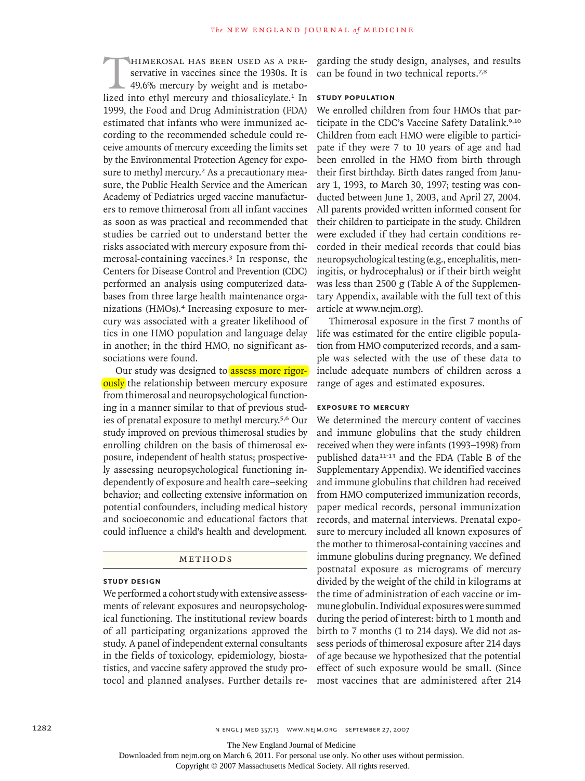HIMEROSAL HAS BEEN USED AS A PREservative in vaccines since the 1930s. It is 49.6% mercury by weight and is metabolized into ethyl mercury and thiosalicylate.<sup>1</sup> In 1999, the Food and Drug Administration (FDA) estimated that infants who were immunized according to the recommended schedule could receive amounts of mercury exceeding the limits set by the Environmental Protection Agency for exposure to methyl mercury.<sup>2</sup> As a precautionary measure, the Public Health Service and the American Academy of Pediatrics urged vaccine manufacturers to remove thimerosal from all infant vaccines as soon as was practical and recommended that studies be carried out to understand better the risks associated with mercury exposure from thimerosal-containing vaccines.3 In response, the Centers for Disease Control and Prevention (CDC) performed an analysis using computerized databases from three large health maintenance organizations (HMOs).<sup>4</sup> Increasing exposure to mercury was associated with a greater likelihood of tics in one HMO population and language delay in another; in the third HMO, no significant associations were found.

Our study was designed to assess more rigorously the relationship between mercury exposure from thimerosal and neuropsychological functioning in a manner similar to that of previous studies of prenatal exposure to methyl mercury.5,6 Our study improved on previous thimerosal studies by enrolling children on the basis of thimerosal exposure, independent of health status; prospectively assessing neuropsychological functioning independently of exposure and health care–seeking behavior; and collecting extensive information on potential confounders, including medical history and socioeconomic and educational factors that could influence a child's health and development.

#### METHODS

#### **Study Design**

We performed a cohort study with extensive assessments of relevant exposures and neuropsychological functioning. The institutional review boards of all participating organizations approved the study. A panel of independent external consultants in the fields of toxicology, epidemiology, biostatistics, and vaccine safety approved the study protocol and planned analyses. Further details regarding the study design, analyses, and results can be found in two technical reports.7,8

# **Study Population**

We enrolled children from four HMOs that participate in the CDC's Vaccine Safety Datalink.<sup>9,10</sup> Children from each HMO were eligible to participate if they were 7 to 10 years of age and had been enrolled in the HMO from birth through their first birthday. Birth dates ranged from January 1, 1993, to March 30, 1997; testing was conducted between June 1, 2003, and April 27, 2004. All parents provided written informed consent for their children to participate in the study. Children were excluded if they had certain conditions recorded in their medical records that could bias neuropsychological testing (e.g., encephalitis, meningitis, or hydrocephalus) or if their birth weight was less than 2500 g (Table A of the Supplementary Appendix, available with the full text of this article at www.nejm.org).

Thimerosal exposure in the first 7 months of life was estimated for the entire eligible population from HMO computerized records, and a sample was selected with the use of these data to include adequate numbers of children across a range of ages and estimated exposures.

#### **Exposure to Mercury**

We determined the mercury content of vaccines and immune globulins that the study children received when they were infants (1993–1998) from published data<sup>11-13</sup> and the FDA (Table B of the Supplementary Appendix). We identified vaccines and immune globulins that children had received from HMO computerized immunization records, paper medical records, personal immunization records, and maternal interviews. Prenatal exposure to mercury included all known exposures of the mother to thimerosal-containing vaccines and immune globulins during pregnancy. We defined postnatal exposure as micrograms of mercury divided by the weight of the child in kilograms at the time of administration of each vaccine or immune globulin. Individual exposures were summed during the period of interest: birth to 1 month and birth to 7 months (1 to 214 days). We did not assess periods of thimerosal exposure after 214 days of age because we hypothesized that the potential effect of such exposure would be small. (Since most vaccines that are administered after 214

The New England Journal of Medicine

Downloaded from nejm.org on March 6, 2011. For personal use only. No other uses without permission.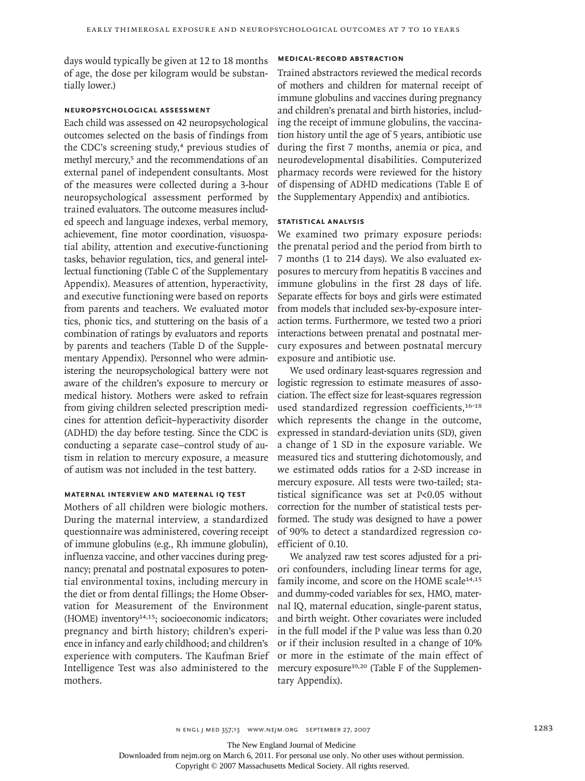days would typically be given at 12 to 18 months of age, the dose per kilogram would be substantially lower.)

#### **Neuropsychological Assessment**

Each child was assessed on 42 neuropsychological outcomes selected on the basis of findings from the CDC's screening study,<sup>4</sup> previous studies of methyl mercury,<sup>5</sup> and the recommendations of an external panel of independent consultants. Most of the measures were collected during a 3-hour neuropsychological assessment performed by trained evaluators. The outcome measures included speech and language indexes, verbal memory, achievement, fine motor coordination, visuospatial ability, attention and executive-functioning tasks, behavior regulation, tics, and general intellectual functioning (Table C of the Supplementary Appendix). Measures of attention, hyperactivity, and executive functioning were based on reports from parents and teachers. We evaluated motor tics, phonic tics, and stuttering on the basis of a combination of ratings by evaluators and reports by parents and teachers (Table D of the Supplementary Appendix). Personnel who were administering the neuropsychological battery were not aware of the children's exposure to mercury or medical history. Mothers were asked to refrain from giving children selected prescription medicines for attention deficit–hyperactivity disorder (ADHD) the day before testing. Since the CDC is conducting a separate case–control study of autism in relation to mercury exposure, a measure of autism was not included in the test battery.

#### **Maternal Interview and Maternal IQ Test**

Mothers of all children were biologic mothers. During the maternal interview, a standardized questionnaire was administered, covering receipt of immune globulins (e.g., Rh immune globulin), influenza vaccine, and other vaccines during pregnancy; prenatal and postnatal exposures to potential environmental toxins, including mercury in the diet or from dental fillings; the Home Observation for Measurement of the Environment (HOME) inventory14,15; socioeconomic indicators; pregnancy and birth history; children's experience in infancy and early childhood; and children's experience with computers. The Kaufman Brief Intelligence Test was also administered to the mothers.

#### **Medical-Record Abstraction**

Trained abstractors reviewed the medical records of mothers and children for maternal receipt of immune globulins and vaccines during pregnancy and children's prenatal and birth histories, including the receipt of immune globulins, the vaccination history until the age of 5 years, antibiotic use during the first 7 months, anemia or pica, and neurodevelopmental disabilities. Computerized pharmacy records were reviewed for the history of dispensing of ADHD medications (Table E of the Supplementary Appendix) and antibiotics.

#### **Statistical Analysis**

We examined two primary exposure periods: the prenatal period and the period from birth to 7 months (1 to 214 days). We also evaluated exposures to mercury from hepatitis B vaccines and immune globulins in the first 28 days of life. Separate effects for boys and girls were estimated from models that included sex-by-exposure interaction terms. Furthermore, we tested two a priori interactions between prenatal and postnatal mercury exposures and between postnatal mercury exposure and antibiotic use.

We used ordinary least-squares regression and logistic regression to estimate measures of association. The effect size for least-squares regression used standardized regression coefficients,<sup>16-18</sup> which represents the change in the outcome, expressed in standard-deviation units (SD), given a change of 1 SD in the exposure variable. We measured tics and stuttering dichotomously, and we estimated odds ratios for a 2-SD increase in mercury exposure. All tests were two-tailed; statistical significance was set at P<0.05 without correction for the number of statistical tests performed. The study was designed to have a power of 90% to detect a standardized regression coefficient of 0.10.

We analyzed raw test scores adjusted for a priori confounders, including linear terms for age, family income, and score on the HOME scale<sup>14,15</sup> and dummy-coded variables for sex, HMO, maternal IQ, maternal education, single-parent status, and birth weight. Other covariates were included in the full model if the P value was less than 0.20 or if their inclusion resulted in a change of 10% or more in the estimate of the main effect of mercury exposure<sup>19,20</sup> (Table F of the Supplementary Appendix).

The New England Journal of Medicine

Downloaded from nejm.org on March 6, 2011. For personal use only. No other uses without permission.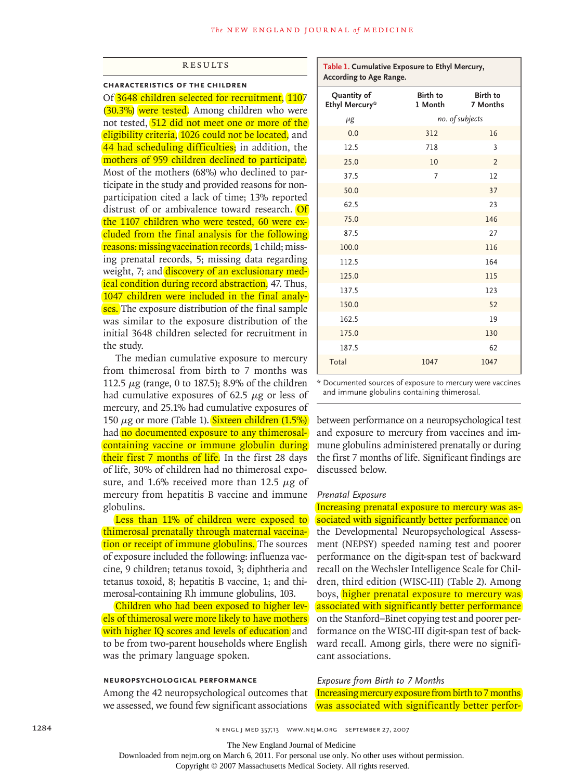# **RESULTS**

#### **characteristics of the children**

Of 3648 children selected for recruitment, 1107 (30.3%) were tested. Among children who were not tested, 512 did not meet one or more of the eligibility criteria, 1026 could not be located, and 44 had scheduling difficulties; in addition, the mothers of 959 children declined to participate. Most of the mothers (68%) who declined to participate in the study and provided reasons for nonparticipation cited a lack of time; 13% reported distrust of or ambivalence toward research. Of the 1107 children who were tested, 60 were excluded from the final analysis for the following reasons: missing vaccination records, 1 child; missing prenatal records, 5; missing data regarding weight, 7; and discovery of an exclusionary medical condition during record abstraction, 47. Thus, 1047 children were included in the final analyses. The exposure distribution of the final sample was similar to the exposure distribution of the initial 3648 children selected for recruitment in the study.

The median cumulative exposure to mercury from thimerosal from birth to 7 months was 112.5  $\mu$ g (range, 0 to 187.5); 8.9% of the children had cumulative exposures of 62.5  $\mu$ g or less of mercury, and 25.1% had cumulative exposures of 150  $\mu$ g or more (Table 1). Sixteen children (1.5%) had no documented exposure to any thimerosalcontaining vaccine or immune globulin during their first 7 months of life. In the first 28 days of life, 30% of children had no thimerosal exposure, and 1.6% received more than 12.5  $\mu$ g of mercury from hepatitis B vaccine and immune globulins.

Less than 11% of children were exposed to thimerosal prenatally through maternal vaccination or receipt of immune globulins. The sources of exposure included the following: influenza vaccine, 9 children; tetanus toxoid, 3; diphtheria and tetanus toxoid, 8; hepatitis B vaccine, 1; and thimerosal-containing Rh immune globulins, 103.

Children who had been exposed to higher levels of thimerosal were more likely to have mothers with higher IQ scores and levels of education and to be from two-parent households where English was the primary language spoken.

#### **Neuropsychological Performance**

Among the 42 neuropsychological outcomes that we assessed, we found few significant associations

#### **Table 1. Cumulative Exposure to Ethyl Mercury, According to Age Range.**

| $\sim$                        |                            |                             |  |
|-------------------------------|----------------------------|-----------------------------|--|
| Quantity of<br>Ethyl Mercury* | <b>Birth to</b><br>1 Month | <b>Birth to</b><br>7 Months |  |
| μg                            |                            | no. of subjects             |  |
| 0.0                           | 312                        | 16                          |  |
| 12.5                          | 718                        | 3                           |  |
| 25.0                          | 10                         | $\overline{2}$              |  |
| 37.5                          | 7                          | 12                          |  |
| 50.0                          |                            | 37                          |  |
| 62.5                          |                            | 23                          |  |
| 75.0                          |                            | 146                         |  |
| 87.5                          |                            | 27                          |  |
| 100.0                         |                            | 116                         |  |
| 112.5                         |                            | 164                         |  |
| 125.0                         |                            | 115                         |  |
| 137.5                         |                            | 123                         |  |
| 150.0                         |                            | 52                          |  |
| 162.5                         |                            | 19                          |  |
| 175.0                         |                            | 130                         |  |
| 187.5                         |                            | 62                          |  |
| Total                         | 1047                       | 1047                        |  |

\* Documented sources of exposure to mercury were vaccines and immune globulins containing thimerosal.

between performance on a neuropsychological test and exposure to mercury from vaccines and immune globulins administered prenatally or during the first 7 months of life. Significant findings are discussed below.

#### *Prenatal Exposure*

Increasing prenatal exposure to mercury was associated with significantly better performance on the Developmental Neuropsychological Assessment (NEPSY) speeded naming test and poorer performance on the digit-span test of backward recall on the Wechsler Intelligence Scale for Children, third edition (WISC-III) (Table 2). Among boys, higher prenatal exposure to mercury was associated with significantly better performance on the Stanford–Binet copying test and poorer performance on the WISC-III digit-span test of backward recall. Among girls, there were no significant associations.

# *Exposure from Birth to 7 Months*

Increasing mercury exposure from birth to 7 months was associated with significantly better perfor-

The New England Journal of Medicine

Downloaded from nejm.org on March 6, 2011. For personal use only. No other uses without permission.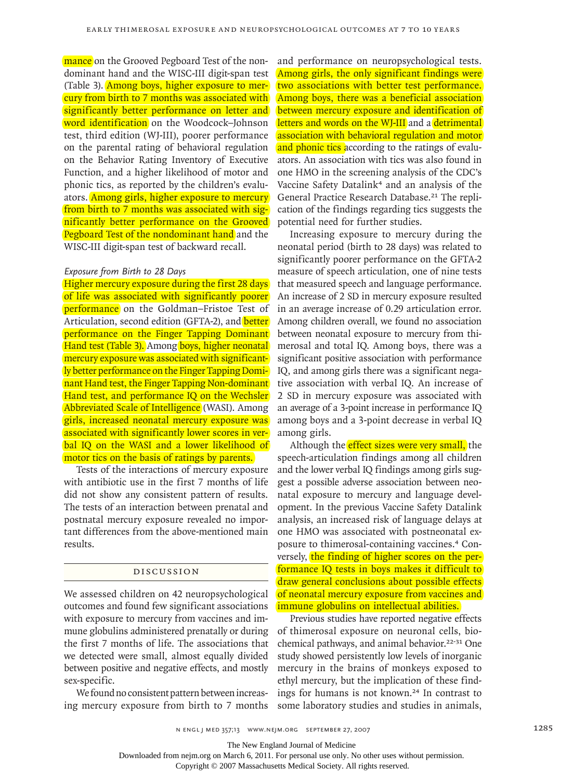mance on the Grooved Pegboard Test of the nondominant hand and the WISC-III digit-span test (Table 3). Among boys, higher exposure to mercury from birth to 7 months was associated with significantly better performance on letter and word identification on the Woodcock–Johnson test, third edition (WJ-III), poorer performance on the parental rating of behavioral regulation on the Behavior Rating Inventory of Executive Function, and a higher likelihood of motor and phonic tics, as reported by the children's evaluators. Among girls, higher exposure to mercury from birth to 7 months was associated with significantly better performance on the Grooved Pegboard Test of the nondominant hand and the WISC-III digit-span test of backward recall.

#### *Exposure from Birth to 28 Days*

Higher mercury exposure during the first 28 days of life was associated with significantly poorer **performance** on the Goldman–Fristoe Test of Articulation, second edition (GFTA-2), and better performance on the Finger Tapping Dominant Hand test (Table 3). Among boys, higher neonatal mercury exposure was associated with significantly better performance on the Finger Tapping Dominant Hand test, the Finger Tapping Non-dominant Hand test, and performance IQ on the Wechsler Abbreviated Scale of Intelligence (WASI). Among girls, increased neonatal mercury exposure was associated with significantly lower scores in verbal IQ on the WASI and a lower likelihood of motor tics on the basis of ratings by parents.

Tests of the interactions of mercury exposure with antibiotic use in the first 7 months of life did not show any consistent pattern of results. The tests of an interaction between prenatal and postnatal mercury exposure revealed no important differences from the above-mentioned main results.

### Discussion

We assessed children on 42 neuropsychological outcomes and found few significant associations with exposure to mercury from vaccines and immune globulins administered prenatally or during the first 7 months of life. The associations that we detected were small, almost equally divided between positive and negative effects, and mostly sex-specific.

We found no consistent pattern between increasing mercury exposure from birth to 7 months

and performance on neuropsychological tests. Among girls, the only significant findings were two associations with better test performance. Among boys, there was a beneficial association between mercury exposure and identification of letters and words on the WI-III and a detrimental association with behavioral regulation and motor and phonic tics according to the ratings of evaluators. An association with tics was also found in one HMO in the screening analysis of the CDC's Vaccine Safety Datalink<sup>4</sup> and an analysis of the General Practice Research Database.<sup>21</sup> The replication of the findings regarding tics suggests the potential need for further studies.

Increasing exposure to mercury during the neonatal period (birth to 28 days) was related to significantly poorer performance on the GFTA-2 measure of speech articulation, one of nine tests that measured speech and language performance. An increase of 2 SD in mercury exposure resulted in an average increase of 0.29 articulation error. Among children overall, we found no association between neonatal exposure to mercury from thimerosal and total IQ. Among boys, there was a significant positive association with performance IQ, and among girls there was a significant negative association with verbal IQ. An increase of 2 SD in mercury exposure was associated with an average of a 3-point increase in performance IQ among boys and a 3-point decrease in verbal IQ among girls.

Although the effect sizes were very small, the speech-articulation findings among all children and the lower verbal IQ findings among girls suggest a possible adverse association between neonatal exposure to mercury and language development. In the previous Vaccine Safety Datalink analysis, an increased risk of language delays at one HMO was associated with postneonatal exposure to thimerosal-containing vaccines.4 Conversely, the finding of higher scores on the performance IQ tests in boys makes it difficult to draw general conclusions about possible effects of neonatal mercury exposure from vaccines and immune globulins on intellectual abilities.

Previous studies have reported negative effects of thimerosal exposure on neuronal cells, biochemical pathways, and animal behavior.<sup>22-31</sup> One study showed persistently low levels of inorganic mercury in the brains of monkeys exposed to ethyl mercury, but the implication of these findings for humans is not known.24 In contrast to some laboratory studies and studies in animals,

The New England Journal of Medicine

Downloaded from nejm.org on March 6, 2011. For personal use only. No other uses without permission.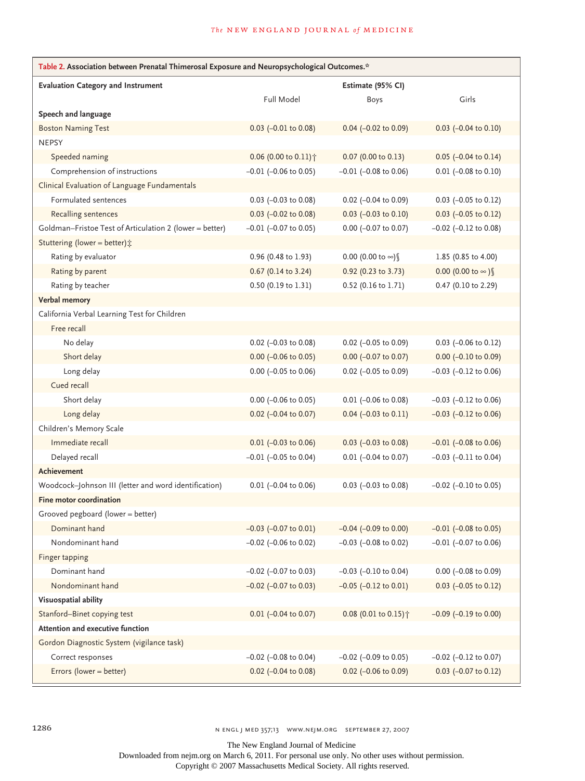# *The* NEW ENGLAND JOURNAL of MEDICINE

| Table 2. Association between Prenatal Thimerosal Exposure and Neuropsychological Outcomes.* |                            |                            |                            |
|---------------------------------------------------------------------------------------------|----------------------------|----------------------------|----------------------------|
| <b>Evaluation Category and Instrument</b>                                                   |                            | Estimate (95% CI)          |                            |
|                                                                                             | Full Model                 | Boys                       | Girls                      |
| Speech and language                                                                         |                            |                            |                            |
| <b>Boston Naming Test</b>                                                                   | $0.03$ (-0.01 to 0.08)     | $0.04$ (-0.02 to 0.09)     | $0.03$ (-0.04 to 0.10)     |
| <b>NEPSY</b>                                                                                |                            |                            |                            |
| Speeded naming                                                                              | 0.06 (0.00 to 0.11) +      | $0.07$ (0.00 to 0.13)      | $0.05$ (-0.04 to 0.14)     |
| Comprehension of instructions                                                               | $-0.01$ ( $-0.06$ to 0.05) | $-0.01$ ( $-0.08$ to 0.06) | $0.01$ (-0.08 to 0.10)     |
| Clinical Evaluation of Language Fundamentals                                                |                            |                            |                            |
| Formulated sentences                                                                        | $0.03$ (-0.03 to 0.08)     | $0.02$ (-0.04 to 0.09)     | $0.03$ (-0.05 to 0.12)     |
| Recalling sentences                                                                         | $0.03$ (-0.02 to 0.08)     | $0.03$ (-0.03 to 0.10)     | $0.03$ (-0.05 to 0.12)     |
| Goldman-Fristoe Test of Articulation 2 (lower = better)                                     | $-0.01$ ( $-0.07$ to 0.05) | $0.00$ (-0.07 to 0.07)     | $-0.02$ ( $-0.12$ to 0.08) |
| Stuttering (lower = better);                                                                |                            |                            |                            |
| Rating by evaluator                                                                         | 0.96 (0.48 to 1.93)        | 0.00 (0.00 to $\infty$ )   | 1.85 (0.85 to 4.00)        |
| Rating by parent                                                                            | $0.67$ (0.14 to 3.24)      | 0.92 (0.23 to 3.73)        | $0.00$ (0.00 to $\infty$ ) |
| Rating by teacher                                                                           | 0.50 (0.19 to 1.31)        | 0.52 (0.16 to 1.71)        | 0.47 (0.10 to 2.29)        |
| Verbal memory                                                                               |                            |                            |                            |
| California Verbal Learning Test for Children                                                |                            |                            |                            |
| Free recall                                                                                 |                            |                            |                            |
| No delay                                                                                    | $0.02$ (-0.03 to 0.08)     | $0.02$ (-0.05 to 0.09)     | $0.03$ (-0.06 to 0.12)     |
| Short delay                                                                                 | $0.00$ (-0.06 to 0.05)     | $0.00$ (-0.07 to 0.07)     | $0.00$ (-0.10 to 0.09)     |
| Long delay                                                                                  | $0.00$ (-0.05 to 0.06)     | $0.02$ (-0.05 to 0.09)     | $-0.03$ ( $-0.12$ to 0.06) |
| Cued recall                                                                                 |                            |                            |                            |
| Short delay                                                                                 | $0.00$ (-0.06 to 0.05)     | $0.01$ (-0.06 to 0.08)     | $-0.03$ ( $-0.12$ to 0.06) |
| Long delay                                                                                  | $0.02$ (-0.04 to 0.07)     | $0.04$ (-0.03 to 0.11)     | $-0.03$ ( $-0.12$ to 0.06) |
| Children's Memory Scale                                                                     |                            |                            |                            |
| Immediate recall                                                                            | $0.01$ (-0.03 to 0.06)     | $0.03$ (-0.03 to 0.08)     | $-0.01$ ( $-0.08$ to 0.06) |
| Delayed recall                                                                              | $-0.01$ ( $-0.05$ to 0.04) | $0.01$ (-0.04 to 0.07)     | $-0.03$ ( $-0.11$ to 0.04) |
| <b>Achievement</b>                                                                          |                            |                            |                            |
| Woodcock-Johnson III (letter and word identification)                                       | $0.01$ (-0.04 to 0.06)     | $0.03$ (-0.03 to 0.08)     | $-0.02$ ( $-0.10$ to 0.05) |
| Fine motor coordination                                                                     |                            |                            |                            |
| Grooved pegboard (lower = better)                                                           |                            |                            |                            |
| Dominant hand                                                                               | $-0.03$ ( $-0.07$ to 0.01) | $-0.04$ ( $-0.09$ to 0.00) | $-0.01$ ( $-0.08$ to 0.05) |
| Nondominant hand                                                                            | $-0.02$ ( $-0.06$ to 0.02) | $-0.03$ ( $-0.08$ to 0.02) | $-0.01$ ( $-0.07$ to 0.06) |
| Finger tapping                                                                              |                            |                            |                            |
| Dominant hand                                                                               | $-0.02$ ( $-0.07$ to 0.03) | $-0.03$ ( $-0.10$ to 0.04) | $0.00$ (-0.08 to 0.09)     |
| Nondominant hand                                                                            | $-0.02$ ( $-0.07$ to 0.03) | $-0.05$ ( $-0.12$ to 0.01) | $0.03$ (-0.05 to 0.12)     |
| Visuospatial ability                                                                        |                            |                            |                            |
| Stanford-Binet copying test                                                                 | $0.01$ (-0.04 to 0.07)     | 0.08 (0.01 to 0.15) +      | $-0.09$ ( $-0.19$ to 0.00) |
| Attention and executive function                                                            |                            |                            |                            |
| Gordon Diagnostic System (vigilance task)                                                   |                            |                            |                            |
| Correct responses                                                                           | $-0.02$ ( $-0.08$ to 0.04) | $-0.02$ ( $-0.09$ to 0.05) | $-0.02$ ( $-0.12$ to 0.07) |
| Errors (lower = better)                                                                     | $0.02$ (-0.04 to 0.08)     | $0.02$ (-0.06 to 0.09)     | $0.03$ (-0.07 to 0.12)     |

The New England Journal of Medicine

Downloaded from nejm.org on March 6, 2011. For personal use only. No other uses without permission.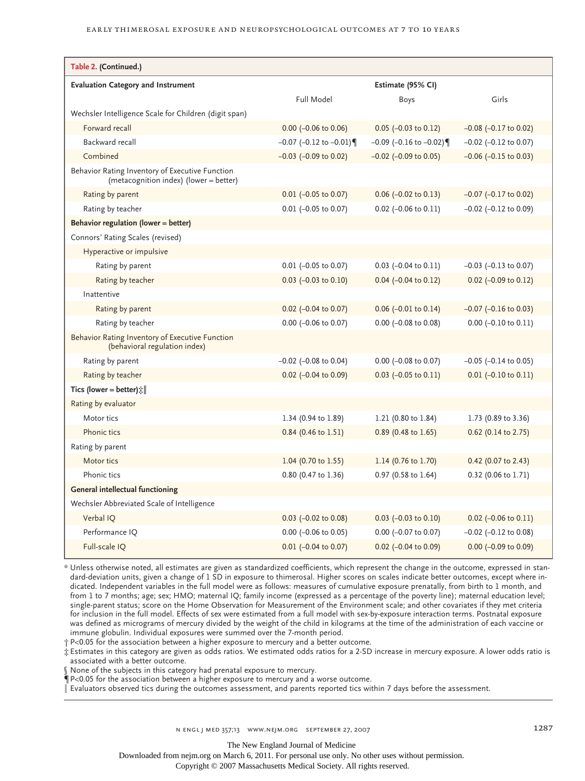| Table 2. (Continued.)                                                                     |                             |                             |                            |
|-------------------------------------------------------------------------------------------|-----------------------------|-----------------------------|----------------------------|
| <b>Evaluation Category and Instrument</b>                                                 |                             | Estimate (95% CI)           |                            |
|                                                                                           | Full Model                  | Boys                        | Girls                      |
| Wechsler Intelligence Scale for Children (digit span)                                     |                             |                             |                            |
| Forward recall                                                                            | $0.00$ (-0.06 to 0.06)      | $0.05$ (-0.03 to 0.12)      | $-0.08$ ( $-0.17$ to 0.02) |
| Backward recall                                                                           | $-0.07$ (-0.12 to $-0.01$ ) | $-0.09$ (-0.16 to $-0.02$ ) | $-0.02$ ( $-0.12$ to 0.07) |
| Combined                                                                                  | $-0.03$ ( $-0.09$ to 0.02)  | $-0.02$ ( $-0.09$ to 0.05)  | $-0.06$ ( $-0.15$ to 0.03) |
| Behavior Rating Inventory of Executive Function<br>(metacognition index) (lower = better) |                             |                             |                            |
| Rating by parent                                                                          | $0.01$ (-0.05 to 0.07)      | $0.06$ (-0.02 to 0.13)      | $-0.07$ ( $-0.17$ to 0.02) |
| Rating by teacher                                                                         | $0.01$ (-0.05 to 0.07)      | $0.02$ (-0.06 to 0.11)      | $-0.02$ ( $-0.12$ to 0.09) |
| Behavior regulation (lower = better)                                                      |                             |                             |                            |
| Connors' Rating Scales (revised)                                                          |                             |                             |                            |
| Hyperactive or impulsive                                                                  |                             |                             |                            |
| Rating by parent                                                                          | $0.01$ (-0.05 to 0.07)      | $0.03$ (-0.04 to 0.11)      | $-0.03$ ( $-0.13$ to 0.07) |
| Rating by teacher                                                                         | $0.03$ (-0.03 to 0.10)      | $0.04$ (-0.04 to 0.12)      | $0.02$ (-0.09 to 0.12)     |
| Inattentive                                                                               |                             |                             |                            |
| Rating by parent                                                                          | $0.02$ (-0.04 to 0.07)      | $0.06$ (-0.01 to 0.14)      | $-0.07$ (-0.16 to 0.03)    |
| Rating by teacher                                                                         | $0.00$ (-0.06 to 0.07)      | $0.00$ (-0.08 to 0.08)      | $0.00$ (-0.10 to 0.11)     |
| Behavior Rating Inventory of Executive Function<br>(behavioral regulation index)          |                             |                             |                            |
| Rating by parent                                                                          | $-0.02$ ( $-0.08$ to 0.04)  | $0.00$ (-0.08 to 0.07)      | $-0.05$ ( $-0.14$ to 0.05) |
| Rating by teacher                                                                         | $0.02$ (-0.04 to 0.09)      | $0.03$ (-0.05 to 0.11)      | $0.01$ (-0.10 to 0.11)     |
| Tics (lower = better) $\hat{x}$                                                           |                             |                             |                            |
| Rating by evaluator                                                                       |                             |                             |                            |
| Motor tics                                                                                | 1.34 (0.94 to 1.89)         | 1.21 (0.80 to 1.84)         | 1.73 (0.89 to 3.36)        |
| <b>Phonic tics</b>                                                                        | $0.84$ (0.46 to 1.51)       | $0.89$ (0.48 to 1.65)       | $0.62$ (0.14 to 2.75)      |
| Rating by parent                                                                          |                             |                             |                            |
| Motor tics                                                                                | 1.04 (0.70 to 1.55)         | 1.14 (0.76 to 1.70)         | 0.42 (0.07 to 2.43)        |
| Phonic tics                                                                               | 0.80 (0.47 to 1.36)         | 0.97 (0.58 to 1.64)         | 0.32 (0.06 to 1.71)        |
| <b>General intellectual functioning</b>                                                   |                             |                             |                            |
| Wechsler Abbreviated Scale of Intelligence                                                |                             |                             |                            |
| Verbal IQ                                                                                 | $0.03$ (-0.02 to 0.08)      | $0.03$ (-0.03 to 0.10)      | $0.02$ (-0.06 to 0.11)     |
| Performance IQ                                                                            | $0.00$ (-0.06 to 0.05)      | $0.00$ (-0.07 to 0.07)      | $-0.02$ ( $-0.12$ to 0.08) |
| Full-scale IQ                                                                             | $0.01$ (-0.04 to 0.07)      | $0.02$ (-0.04 to 0.09)      | $0.00$ (-0.09 to 0.09)     |

\* Unless otherwise noted, all estimates are given as standardized coefficients, which represent the change in the outcome, expressed in standard-deviation units, given a change of 1 SD in exposure to thimerosal. Higher scores on scales indicate better outcomes, except where indicated. Independent variables in the full model were as follows: measures of cumulative exposure prenatally, from birth to 1 month, and from 1 to 7 months; age; sex; HMO; maternal IQ; family income (expressed as a percentage of the poverty line); maternal education level; single-parent status; score on the Home Observation for Measurement of the Environment scale; and other covariates if they met criteria for inclusion in the full model. Effects of sex were estimated from a full model with sex-by-exposure interaction terms. Postnatal exposure was defined as micrograms of mercury divided by the weight of the child in kilograms at the time of the administration of each vaccine or immune globulin. Individual exposures were summed over the 7-month period.

† P<0.05 for the association between a higher exposure to mercury and a better outcome.

‡ Estimates in this category are given as odds ratios. We estimated odds ratios for a 2-SD increase in mercury exposure. A lower odds ratio is associated with a better outcome.

§ None of the subjects in this category had prenatal exposure to mercury.

¶P<0.05 for the association between a higher exposure to mercury and a worse outcome.

 $\mathring{\parallel}$  Evaluators observed tics during the outcomes assessment, and parents reported tics within 7 days before the assessment.

The New England Journal of Medicine

Downloaded from nejm.org on March 6, 2011. For personal use only. No other uses without permission.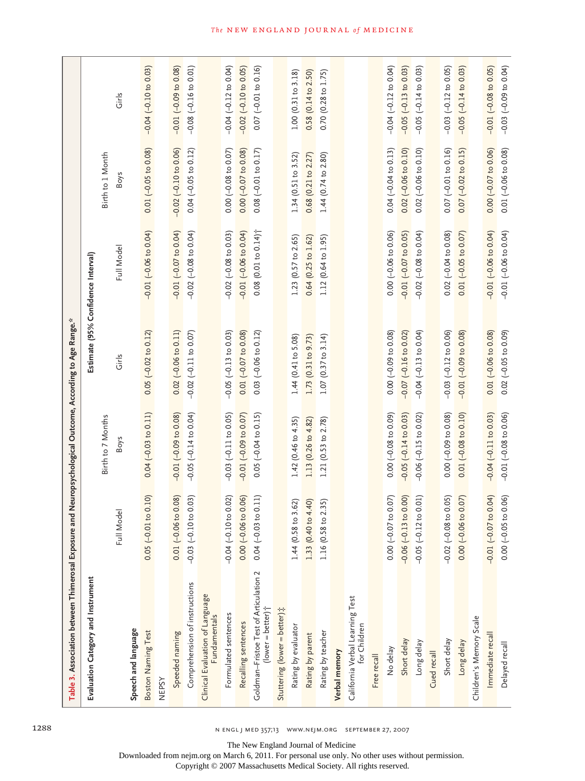| Table 3. Association between Thimerosal Exposure and Neuropsychological Outcome, According to Age Range.* |                              |                                |                             |                                    |                            |                             |
|-----------------------------------------------------------------------------------------------------------|------------------------------|--------------------------------|-----------------------------|------------------------------------|----------------------------|-----------------------------|
| Evaluation Category and Instrument                                                                        |                              |                                |                             | Estimate (95% Confidence Interval) |                            |                             |
|                                                                                                           |                              | Birth to 7 Months              |                             |                                    | Birth to 1 Month           |                             |
|                                                                                                           | Full Model                   | <b>Boys</b>                    | Girls                       | Full Model                         | Boys                       | Girls                       |
| Speech and language                                                                                       |                              |                                |                             |                                    |                            |                             |
| Boston Naming Test                                                                                        | to 0.10)<br>$0.05 (-0.01$    | $0.04$ (-0.03 to 0.11)         | $0.05 (-0.02 to 0.12)$      | $-0.01$ $(-0.06$ to 0.04)          | $0.01 (-0.05 to 0.08)$     | $-0.04$ $(-0.10$ to $0.03)$ |
| NEPSY                                                                                                     |                              |                                |                             |                                    |                            |                             |
| Speeded naming                                                                                            | to 0.08)<br>$0.01 (-0.06$    | $-0.01$ $(-0.09$ to $0.08)$    | $0.02$ (-0.06 to 0.11)      | $-0.01$ $(-0.07$ to 0.04)          | $-0.02$ $(-0.10$ to 0.06)  | $-0.01$ $(-0.09$ to $0.08)$ |
| Comprehension of instructions                                                                             | to 0.03)<br>$-0.03(-0.10$    | $-0.05$ $(-0.14$ to 0.04)      | $-0.02$ $(-0.11$ to $0.07)$ | $-0.02$ $(-0.08$ to 0.04)          | $0.04 (-0.05 to 0.12)$     | $-0.08$ $(-0.16$ to $0.01)$ |
| Clinical Evaluation of Language<br>Fundamentals                                                           |                              |                                |                             |                                    |                            |                             |
| Formulated sentences                                                                                      | to 0.02)<br>$-0.04(-0.10)$   | $-0.03$ $(-0.11$ to $0.05)$    | $-0.05$ $(-0.13$ to 0.03)   | $-0.02$ $(-0.08$ to 0.03)          | $0.00$ $(-0.08$ to $0.07)$ | $-0.04$ $(-0.12$ to $0.04)$ |
| Recalling sentences                                                                                       | to 0.06)<br>$0.00 (-0.06$    | $-0.01 (-0.09 to 0.07)$        | $0.01 (-0.07 to 0.08)$      | $-0.01$ $(-0.06$ to 0.04)          | $0.00 (-0.07 to 0.08)$     | $-0.02$ $(-0.10$ to $0.05)$ |
| Goldman-Fristoe Test of Articulation 2<br>$(lower = better)$<br>N ENGL J MED 357;13                       | to 0.11)<br>$0.04 (-0.03$    | $0.05$ ( $-0.04$ to $0.15$ )   | $0.03 (-0.06 to 0.12)$      | 0.08(0.01 to 0.14)                 | $0.08$ $(-0.01$ to $0.17)$ | $0.07$ (-0.01 to 0.16)      |
| Stuttering (lower = better) ;                                                                             |                              |                                |                             |                                    |                            |                             |
| Rating by evaluator                                                                                       | 1.44 (0.58 to 3.62)          | 1.42 $(0.46 \text{ to } 4.35)$ | 1.44 (0.41 to 5.08)         | 1.23 (0.57 to 2.65)                | 1.34 (0.51 to 3.52)        | 1.00(0.31 to 3.18)          |
| Rating by parent                                                                                          | 1.33 (0.40 to 4.40)          | 1.13 (0.26 to 4.82)            | 1.73 (0.31 to 9.73)         | $0.64$ (0.25 to $1.62$ )           | $0.68$ (0.21 to 2.27)      | 0.58 (0.14 to 2.50)         |
| Rating by teacher<br>WWW.NEJM.ORG                                                                         | 2.35)<br>1.16 (0.58 to       | 1.21 (0.53 to 2.78)            | 1.07(0.37 to 3.14)          | 1.12 (0.64 to 1.95)                | 1.44 (0.74 to 2.80)        | $0.70$ $(0.28$ to $1.75)$   |
| Verbal memory                                                                                             |                              |                                |                             |                                    |                            |                             |
| California Verbal Learning Test<br>for Children                                                           |                              |                                |                             |                                    |                            |                             |
| Free recall                                                                                               |                              |                                |                             |                                    |                            |                             |
| No delay                                                                                                  | to 0.07)<br>$0.00 (-0.07$    | $0.00 (-0.08 to 0.09)$         | $0.00 (-0.09 to 0.08)$      | $0.00 (-0.06 to 0.06)$             | $0.04 (-0.04 to 0.13)$     | $-0.04$ $(-0.12$ to 0.04)   |
| Short delay                                                                                               | to $0.00$<br>$-0.06(-0.13)$  | $-0.05$ $(-0.14$ to $0.03)$    | $-0.07$ $(-0.16$ to $0.02)$ | $-0.01$ $(-0.07$ to 0.05)          | $0.02$ (-0.06 to 0.10)     | $-0.05$ $(-0.13$ to $0.03)$ |
| Long delay                                                                                                | to $0.01$<br>$-0.05 (-0.12)$ | $-0.06$ $(-0.15$ to $0.02)$    | $-0.04 (-0.13 to 0.04)$     | $-0.02$ $(-0.08$ to 0.04)          | $0.02$ (-0.06 to 0.10)     | $-0.05$ $(-0.14$ to 0.03)   |
| Cued recall                                                                                               |                              |                                |                             |                                    |                            |                             |
| Short delay                                                                                               | to 0.05)<br>$-0.02(-0.08)$   | $0.00 (-0.09 to 0.08)$         | $-0.03 (-0.12 to 0.06)$     | $0.02 (-0.04 to 0.08)$             | $0.07$ (-0.01 to 0.16)     | $-0.03$ $(-0.12$ to $0.05)$ |
| Long delay                                                                                                | to $0.07$<br>$0.00 (-0.06$   | $0.01 (-0.08 to 0.10)$         | $-0.01(-0.09 to 0.08)$      | $0.01 (-0.05 to 0.07)$             | $0.07 (-0.02 to 0.15)$     | $-0.05$ $(-0.14$ to $0.03)$ |
| Children's Memory Scale                                                                                   |                              |                                |                             |                                    |                            |                             |
| Immediate recall                                                                                          | to 0.04)<br>$-0.01(-0.07)$   | $-0.04$ $(-0.11$ to $0.03)$    | $0.01 (-0.06 to 0.08)$      | $-0.01 (-0.06 to 0.04)$            | $0.00 (-0.07 to 0.06)$     | $-0.01$ $(-0.08$ to $0.05)$ |
| Delayed recall                                                                                            | to 0.06)<br>$0.00 (-0.05$    | $-0.01$ $(-0.08$ to 0.06)      | $0.02$ (-0.05 to 0.09)      | $-0.01$ $(-0.06$ to $0.04)$        | $0.01 (-0.06 to 0.08)$     | $-0.03$ $(-0.09$ to $0.04)$ |

The New England Journal of Medicine

Downloaded from nejm.org on March 6, 2011. For personal use only. No other uses without permission.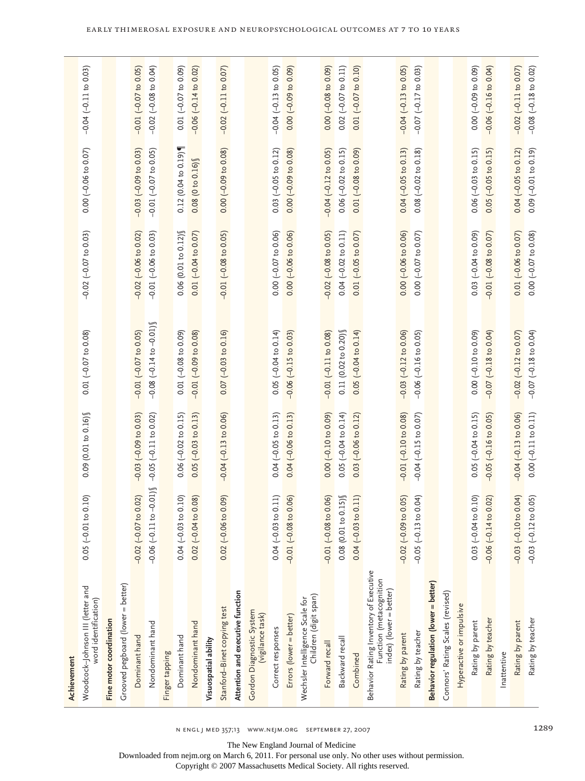| Woodcock-Johnson III (letter and<br>word identification)<br>Achievement                      | $0.05$ $(-0.01$ to $0.10)$   | 0.09(0.01 to 0.16)          | $0.01 (-0.07 to 0.08)$      | $-0.02$ $(-0.07$ to 0.03)   | $0.00 (-0.06 to 0.07)$      | $-0.04$ $(-0.11$ to $0.03)$ |
|----------------------------------------------------------------------------------------------|------------------------------|-----------------------------|-----------------------------|-----------------------------|-----------------------------|-----------------------------|
| Fine motor coordination                                                                      |                              |                             |                             |                             |                             |                             |
| Grooved pegboard (lower = better)                                                            |                              |                             |                             |                             |                             |                             |
| Dominant hand                                                                                | $-0.02$ $(-0.07$ to $0.02)$  | $-0.03$ $(-0.09$ to $0.03)$ | $-0.01$ $(-0.07$ to 0.05)   | $-0.02$ $(-0.06$ to $0.02)$ | $-0.03$ $(-0.09$ to $0.03)$ |                             |
| Nondominant hand                                                                             | $-0.06$ $(-0.11$ to $-0.01)$ | $-0.05$ $(-0.11$ to $0.02)$ | $-0.08 (-0.14 to -0.01)$    | $-0.01$ $(-0.06$ to 0.03)   | $-0.01$ $(-0.07$ to $0.05)$ |                             |
| Finger tapping                                                                               |                              |                             |                             |                             |                             |                             |
| Dominant hand                                                                                | $0.04 (-0.03 to 0.10)$       | $0.06 (-0.02 to 0.15)$      | $0.01 (-0.08 to 0.09)$      | $0.06$ (0.01 to 0.12)       | 0.12(0.04 to 0.19)          |                             |
| Nondominant hand                                                                             | $0.02$ (-0.04 to 0.08)       | $0.05$ $(-0.03$ to $0.13)$  | $-0.01$ $(-0.09$ to $0.08)$ | $0.01 (-0.04 to 0.07)$      | 0.08 (0 to 0.16)            |                             |
| Visuospatial ability                                                                         |                              |                             |                             |                             |                             |                             |
| Stanford-Binet copying test                                                                  | $0.02$ (-0.06 to 0.09)       | $-0.04$ $(-0.13$ to $0.06)$ | $0.07 (-0.03 to 0.16)$      | $-0.01$ $(-0.08$ to 0.05)   | $0.00 (-0.09 to 0.08)$      |                             |
| Attention and executive function                                                             |                              |                             |                             |                             |                             |                             |
| Gordon Diagnostic System<br>(vigilance task)                                                 |                              |                             |                             |                             |                             |                             |
| Correct responses                                                                            | $0.04 (-0.03 to 0.11)$       | $0.04 (-0.05 to 0.13)$      | $0.05 (-0.04 to 0.14)$      | $0.00 (-0.07 to 0.06)$      | $0.03$ $(-0.05$ to $0.12)$  |                             |
| Errors (lower = better)                                                                      | $-0.01 (-0.08 to 0.06)$      | $0.04 (-0.06 to 0.13)$      | $-0.06 (-0.15 to 0.03)$     | $0.00 (-0.06 to 0.06)$      | $0.00 (-0.09 to 0.08)$      |                             |
| Children (digit span)<br>Wechsler Intelligence Scale for                                     |                              |                             |                             |                             |                             |                             |
| Forward recall                                                                               | $-0.01 (-0.08 to 0.06)$      | $0.00 (-0.10 to 0.09)$      | $-0.01(-0.11 to 0.08)$      | $-0.02$ $(-0.08$ to $0.05)$ | $-0.04$ $(-0.12$ to $0.05)$ |                             |
| Backward recall                                                                              | $0.08$ (0.01 to 0.15) §      | $0.05$ $(-0.04$ to $0.14)$  | 0.11(0.02 to 0.20)          | $0.04$ (-0.02 to 0.11)      | $0.06$ $(-0.02$ to $0.15)$  |                             |
| Combined                                                                                     | $0.04$ (-0.03 to 0.11)       | $0.03$ $(-0.06$ to $0.12)$  | $0.05 (-0.04 to 0.14)$      | $0.01 (-0.05 to 0.07)$      | $0.01$ (-0.08 to 0.09)      |                             |
| Behavior Rating Inventory of Executive<br>Function (metacognition<br>index) (lower = better) |                              |                             |                             |                             |                             |                             |
| Rating by parent                                                                             | $-0.02$ $(-0.09$ to $0.05)$  | $-0.01$ $(-0.10$ to 0.08)   | $-0.03 (-0.12 to 0.06)$     | $0.00 (-0.06 to 0.06)$      | $0.04$ (-0.05 to 0.13)      |                             |
| Rating by teacher                                                                            | 3 to 0.04<br>$-0.05 (-0.1$   | $-0.04$ $(-0.15$ to $0.07)$ | $-0.06 (-0.16 to 0.05)$     | $0.00 (-0.07 to 0.07)$      | $0.08$ $(-0.02$ to $0.18)$  |                             |
| Behavior regulation (lower = better)                                                         |                              |                             |                             |                             |                             |                             |
| Connors' Rating Scales (revised)                                                             |                              |                             |                             |                             |                             |                             |
| Hyperactive or impulsive                                                                     |                              |                             |                             |                             |                             |                             |
| Rating by parent                                                                             | $0.03$ $(-0.04$ to $0.10)$   | $0.05$ $(-0.04$ to $0.15)$  | $0.00 (-0.10 to 0.09)$      | $0.03$ $(-0.04$ to $0.09)$  | $0.06$ (-0.03 to 0.15)      |                             |
| Rating by teacher                                                                            | $-0.06$ $(-0.14$ to $0.02)$  | $-0.05$ $(-0.16$ to $0.05)$ | $-0.07$ $(-0.18$ to 0.04)   | $-0.01$ $(-0.08$ to 0.07)   | $0.05$ $(-0.05$ to $0.15)$  |                             |
| Inattentive                                                                                  |                              |                             |                             |                             |                             |                             |
| Rating by parent                                                                             | $-0.03$ $(-0.10$ to $0.04)$  | $-0.04$ $(-0.13$ to $0.06)$ | $-0.02 (-0.12 to 0.07)$     | $0.01$ $(-0.06$ to $0.07)$  | $0.04$ (-0.05 to 0.12)      |                             |
| Rating by teacher                                                                            | $-0.03$ $(-0.12$ to $0.05)$  | $0.00 (-0.11 to 0.11)$      | $-0.07$ $(-0.18$ to $0.04)$ | $0.00 (-0.07 to 0.08)$      | $0.09$ $(-0.01$ to $0.19)$  |                             |

n engl j med 357;13 www.nejm.org september 27, 2007 1289

The New England Journal of Medicine Downloaded from nejm.org on March 6, 2011. For personal use only. No other uses without permission.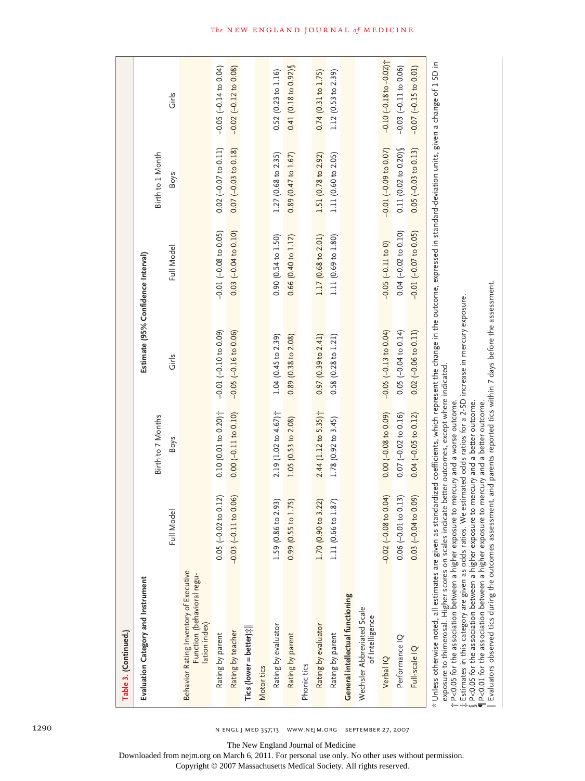| Table 3. (Continued.)                                                                 |                            |                                  |                           |                                    |                                 |                                         |
|---------------------------------------------------------------------------------------|----------------------------|----------------------------------|---------------------------|------------------------------------|---------------------------------|-----------------------------------------|
| Evaluation Category and Instrument                                                    |                            |                                  |                           | Estimate (95% Confidence Interval) |                                 |                                         |
|                                                                                       | Full Model                 | Birth to 7 Months<br><b>Boys</b> | Girls                     | Full Model                         | Birth to 1 Month<br><b>Boys</b> | Girls                                   |
| Behavior Rating Inventory of Executive<br>Function (behavioral regu-<br>lation index) |                            |                                  |                           |                                    |                                 |                                         |
| Rating by parent                                                                      | to 0.12)<br>$0.05 (-0.02$  | $0.10$ (0.01 to 0.20) $\dagger$  | $-0.01(-0.10 to 0.09)$    | $-0.01$ $(-0.08$ to 0.05)          | $0.02$ (-0.07 to 0.11)          | $-0.05$ $(-0.14$ to 0.04)               |
| Rating by teacher                                                                     | to 0.06)<br>$-0.03(-0.11)$ | $0.00 (-0.11 to 0.10)$           | $-0.05 (-0.16 to 0.06)$   | $0.03$ $(-0.04$ to $0.10)$         | $0.07$ (-0.03 to 0.18)          | $-0.02$ $(-0.12$ to $0.08)$             |
| Tics (lower = better);                                                                |                            |                                  |                           |                                    |                                 |                                         |
| Motor tics                                                                            |                            |                                  |                           |                                    |                                 |                                         |
| Rating by evaluator                                                                   | 1.59 (0.86 to 2.93)        | 2.19(1.02 to 4.67)               | 1.04(0.45 to 2.39)        | 0.90(0.54 to 1.50)                 | 1.27 (0.68 to 2.35)             | $0.52$ (0.23 to $1.16$ )                |
| Rating by parent                                                                      | to 1.75)<br>0.99 (0.55     | 1.05 (0.53 to 2.08)              | 0.89(0.38 to 2.08)        | 0.66(0.40 to 1.12)                 | 0.89(0.47 to 1.67)              | 0.41(0.18 to 0.92)                      |
| Phonic tics                                                                           |                            |                                  |                           |                                    |                                 |                                         |
| Rating by evaluator                                                                   | to 3.22)<br>1.70 (0.90     | 2.44 (1.12 to 5.35) <sup>+</sup> | 0.97(0.39 to 2.41)        | 1.17 (0.68 to 2.01)                | 1.51 (0.78 to 2.92)             | $0.74$ $(0.31$ to $1.75)$               |
| Rating by parent                                                                      | to 1.87)<br>1.11 (0.66     | $1.78$ (0.92 to 3.45)            | 0.58(0.28 to 1.21)        | 1.11 (0.69 to 1.80)                | 1.11 (0.60 to 2.05)             | 1.12 (0.53 to 2.39)                     |
| General intellectual functioning                                                      |                            |                                  |                           |                                    |                                 |                                         |
| Wechsler Abbreviated Scale<br>of Intelligence                                         |                            |                                  |                           |                                    |                                 |                                         |
| Verbal <sub>1</sub> Q                                                                 | $-0.02$ $(-0.08$ to 0.04)  | $0.00$ $(-0.08$ to $0.09)$       | $-0.05$ $(-0.13$ to 0.04) | $-0.05$ $(-0.11$ to 0)             | $-0.01 (-0.09 to 0.07)$         | $-0.10(-0.18$ to $-0.02$ ] <sup>+</sup> |
| Performance IQ                                                                        | to 0.13)<br>$0.06(-0.01)$  | $0.07 (-0.02 to 0.16)$           | $0.05 (-0.04 to 0.14)$    | $0.04 (-0.02 to 0.10)$             | $0.11$ (0.02 to 0.20)           | $-0.03$ $(-0.11$ to $0.06)$             |
| Full-scale IQ                                                                         | (60.000)<br>$0.03 (-0.04)$ | $0.04 (-0.05 to 0.12)$           | $0.02$ (-0.06 to 0.11)    | $-0.01$ $(-0.07$ to 0.05)          | $0.05$ (-0.03 to 0.13)          | $-0.07$ $(-0.15$ to $0.01)$             |

Estimates in this category are given as odds ratios. We estimated odds ratios for a 2-SD increase in mercury exposure.

§ P<0.05 for the association between a higher exposure to mercury and a better outcome.

 $\P$ P<0.01 for the association between a higher exposure to mercury and a better outcome.

‖ Evaluators observed tics during the outcomes assessment, and parents reported tics within 7 days before the assessment.

The New England Journal of Medicine

Downloaded from nejm.org on March 6, 2011. For personal use only. No other uses without permission.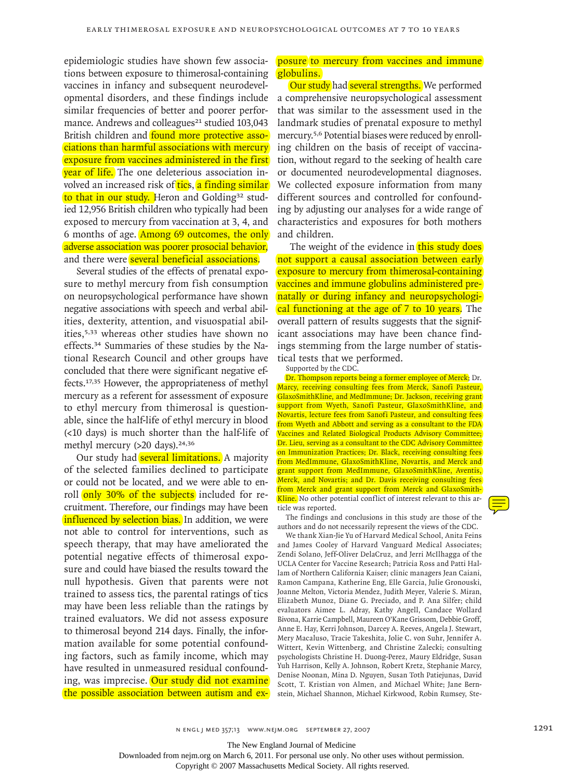epidemiologic studies have shown few associations between exposure to thimerosal-containing vaccines in infancy and subsequent neurodevelopmental disorders, and these findings include similar frequencies of better and poorer performance. Andrews and colleagues<sup>21</sup> studied 103,043 British children and **found more protective asso**ciations than harmful associations with mercury exposure from vaccines administered in the first year of life. The one deleterious association involved an increased risk of tics, a finding similar to that in our study. Heron and Golding<sup>32</sup> studied 12,956 British children who typically had been exposed to mercury from vaccination at 3, 4, and 6 months of age. Among 69 outcomes, the only adverse association was poorer prosocial behavior, and there were several beneficial associations.

Several studies of the effects of prenatal exposure to methyl mercury from fish consumption on neuropsychological performance have shown negative associations with speech and verbal abilities, dexterity, attention, and visuospatial abilities,5,33 whereas other studies have shown no effects.34 Summaries of these studies by the National Research Council and other groups have concluded that there were significant negative effects.17,35 However, the appropriateness of methyl mercury as a referent for assessment of exposure to ethyl mercury from thimerosal is questionable, since the half-life of ethyl mercury in blood (<10 days) is much shorter than the half-life of methyl mercury (>20 days).<sup>24,36</sup>

Our study had several limitations. A majority of the selected families declined to participate or could not be located, and we were able to enroll only 30% of the subjects included for recruitment. Therefore, our findings may have been influenced by selection bias. In addition, we were not able to control for interventions, such as speech therapy, that may have ameliorated the potential negative effects of thimerosal exposure and could have biased the results toward the null hypothesis. Given that parents were not trained to assess tics, the parental ratings of tics may have been less reliable than the ratings by trained evaluators. We did not assess exposure to thimerosal beyond 214 days. Finally, the information available for some potential confounding factors, such as family income, which may have resulted in unmeasured residual confounding, was imprecise. Our study did not examine the possible association between autism and exposure to mercury from vaccines and immune globulins.

Our study had several strengths. We performed a comprehensive neuropsychological assessment that was similar to the assessment used in the landmark studies of prenatal exposure to methyl mercury.5,6 Potential biases were reduced by enrolling children on the basis of receipt of vaccination, without regard to the seeking of health care or documented neurodevelopmental diagnoses. We collected exposure information from many different sources and controlled for confounding by adjusting our analyses for a wide range of characteristics and exposures for both mothers and children.

The weight of the evidence in this study does not support a causal association between early exposure to mercury from thimerosal-containing vaccines and immune globulins administered prenatally or during infancy and neuropsychological functioning at the age of 7 to 10 years. The overall pattern of results suggests that the significant associations may have been chance findings stemming from the large number of statistical tests that we performed.

Supported by the CDC.

Dr. Thompson reports being a former employee of Merck; Dr. Marcy, receiving consulting fees from Merck, Sanofi Pasteur, GlaxoSmithKline, and MedImmune; Dr. Jackson, receiving grant support from Wyeth, Sanofi Pasteur, GlaxoSmithKline, and Novartis, lecture fees from Sanofi Pasteur, and consulting fees from Wyeth and Abbott and serving as a consultant to the FDA Vaccines and Related Biological Products Advisory Committee; Dr. Lieu, serving as a consultant to the CDC Advisory Committee on Immunization Practices; Dr. Black, receiving consulting fees from MedImmune, GlaxoSmithKline, Novartis, and Merck and grant support from MedImmune, GlaxoSmithKline, Aventis, Merck, and Novartis; and Dr. Davis receiving consulting fees from Merck and grant support from Merck and GlaxoSmith-Kline. No other potential conflict of interest relevant to this article was reported.

The findings and conclusions in this study are those of the authors and do not necessarily represent the views of the CDC.

We thank Xian-Jie Yu of Harvard Medical School, Anita Feins and James Cooley of Harvard Vanguard Medical Associates; Zendi Solano, Jeff-Oliver DelaCruz, and Jerri McIlhagga of the UCLA Center for Vaccine Research; Patricia Ross and Patti Hallam of Northern California Kaiser; clinic managers Jean Caiani, Ramon Campana, Katherine Eng, Elle Garcia, Julie Gronouski, Joanne Melton, Victoria Mendez, Judith Meyer, Valerie S. Miran, Elizabeth Munoz, Diane G. Preciado, and P. Ana Silfer; child evaluators Aimee L. Adray, Kathy Angell, Candace Wollard Bivona, Karrie Campbell, Maureen O'Kane Grissom, Debbie Groff, Anne E. Hay, Kerri Johnson, Darcey A. Reeves, Angela J. Stewart, Mery Macaluso, Tracie Takeshita, Jolie C. von Suhr, Jennifer A. Wittert, Kevin Wittenberg, and Christine Zalecki; consulting psychologists Christine H. Duong-Perez, Maury Eldridge, Susan Yuh Harrison, Kelly A. Johnson, Robert Kretz, Stephanie Marcy, Denise Noonan, Mina D. Nguyen, Susan Toth Patiejunas, David Scott, T. Kristian von Almen, and Michael White; Jane Bernstein, Michael Shannon, Michael Kirkwood, Robin Rumsey, Ste-

The New England Journal of Medicine

Downloaded from nejm.org on March 6, 2011. For personal use only. No other uses without permission.